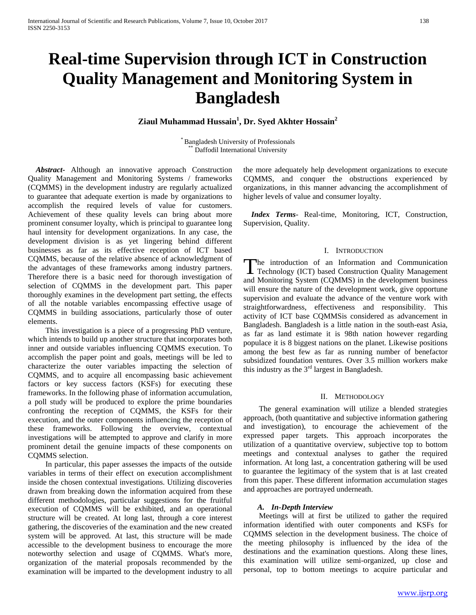# **Real-time Supervision through ICT in Construction Quality Management and Monitoring System in Bangladesh**

# **Ziaul Muhammad Hussain<sup>1</sup> , Dr. Syed Akhter Hossain<sup>2</sup>**

\* Bangladesh University of Professionals \*\* Daffodil International University

 *Abstract***-** Although an innovative approach Construction Quality Management and Monitoring Systems / frameworks (CQMMS) in the development industry are regularly actualized to guarantee that adequate exertion is made by organizations to accomplish the required levels of value for customers. Achievement of these quality levels can bring about more prominent consumer loyalty, which is principal to guarantee long haul intensity for development organizations. In any case, the development division is as yet lingering behind different businesses as far as its effective reception of ICT based CQMMS, because of the relative absence of acknowledgment of the advantages of these frameworks among industry partners. Therefore there is a basic need for thorough investigation of selection of CQMMS in the development part. This paper thoroughly examines in the development part setting, the effects of all the notable variables encompassing effective usage of CQMMS in building associations, particularly those of outer elements.

 This investigation is a piece of a progressing PhD venture, which intends to build up another structure that incorporates both inner and outside variables influencing CQMMS execution. To accomplish the paper point and goals, meetings will be led to characterize the outer variables impacting the selection of CQMMS, and to acquire all encompassing basic achievement factors or key success factors (KSFs) for executing these frameworks. In the following phase of information accumulation, a poll study will be produced to explore the prime boundaries confronting the reception of CQMMS, the KSFs for their execution, and the outer components influencing the reception of these frameworks. Following the overview, contextual investigations will be attempted to approve and clarify in more prominent detail the genuine impacts of these components on CQMMS selection.

 In particular, this paper assesses the impacts of the outside variables in terms of their effect on execution accomplishment inside the chosen contextual investigations. Utilizing discoveries drawn from breaking down the information acquired from these different methodologies, particular suggestions for the fruitful execution of CQMMS will be exhibited, and an operational structure will be created. At long last, through a core interest gathering, the discoveries of the examination and the new created system will be approved. At last, this structure will be made accessible to the development business to encourage the more noteworthy selection and usage of CQMMS. What's more, organization of the material proposals recommended by the examination will be imparted to the development industry to all

the more adequately help development organizations to execute CQMMS, and conquer the obstructions experienced by organizations, in this manner advancing the accomplishment of higher levels of value and consumer loyalty.

 *Index Terms*- Real-time, Monitoring, ICT, Construction, Supervision, Quality.

## I. INTRODUCTION

he introduction of an Information and Communication The introduction of an Information and Communication<br>Technology (ICT) based Construction Quality Management and Monitoring System (CQMMS) in the development business will ensure the nature of the development work, give opportune supervision and evaluate the advance of the venture work with straightforwardness, effectiveness and responsibility. This activity of ICT base CQMMSis considered as advancement in Bangladesh. Bangladesh is a little nation in the south-east Asia, as far as land estimate it is 98th nation however regarding populace it is 8 biggest nations on the planet. Likewise positions among the best few as far as running number of benefactor subsidized foundation ventures. Over 3.5 million workers make this industry as the  $3<sup>rd</sup>$  largest in Bangladesh.

## II. METHODOLOGY

 The general examination will utilize a blended strategies approach, (both quantitative and subjective information gathering and investigation), to encourage the achievement of the expressed paper targets. This approach incorporates the utilization of a quantitative overview, subjective top to bottom meetings and contextual analyses to gather the required information. At long last, a concentration gathering will be used to guarantee the legitimacy of the system that is at last created from this paper. These different information accumulation stages and approaches are portrayed underneath.

## *A. In-Depth Interview*

 Meetings will at first be utilized to gather the required information identified with outer components and KSFs for CQMMS selection in the development business. The choice of the meeting philosophy is influenced by the idea of the destinations and the examination questions. Along these lines, this examination will utilize semi-organized, up close and personal, top to bottom meetings to acquire particular and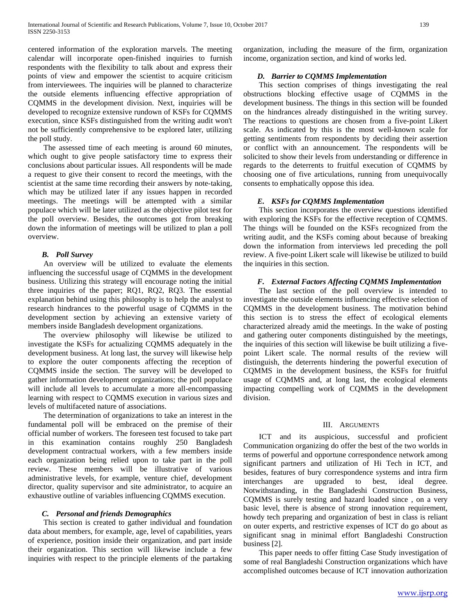centered information of the exploration marvels. The meeting calendar will incorporate open-finished inquiries to furnish respondents with the flexibility to talk about and express their points of view and empower the scientist to acquire criticism from interviewees. The inquiries will be planned to characterize the outside elements influencing effective appropriation of CQMMS in the development division. Next, inquiries will be developed to recognize extensive rundown of KSFs for CQMMS execution, since KSFs distinguished from the writing audit won't not be sufficiently comprehensive to be explored later, utilizing the poll study.

 The assessed time of each meeting is around 60 minutes, which ought to give people satisfactory time to express their conclusions about particular issues. All respondents will be made a request to give their consent to record the meetings, with the scientist at the same time recording their answers by note-taking, which may be utilized later if any issues happen in recorded meetings. The meetings will be attempted with a similar populace which will be later utilized as the objective pilot test for the poll overview. Besides, the outcomes got from breaking down the information of meetings will be utilized to plan a poll overview.

## *B. Poll Survey*

 An overview will be utilized to evaluate the elements influencing the successful usage of CQMMS in the development business. Utilizing this strategy will encourage noting the initial three inquiries of the paper; RQ1, RQ2, RQ3. The essential explanation behind using this philosophy is to help the analyst to research hindrances to the powerful usage of CQMMS in the development section by achieving an extensive variety of members inside Bangladesh development organizations.

 The overview philosophy will likewise be utilized to investigate the KSFs for actualizing CQMMS adequately in the development business. At long last, the survey will likewise help to explore the outer components affecting the reception of CQMMS inside the section. The survey will be developed to gather information development organizations; the poll populace will include all levels to accumulate a more all-encompassing learning with respect to CQMMS execution in various sizes and levels of multifaceted nature of associations.

 The determination of organizations to take an interest in the fundamental poll will be embraced on the premise of their official number of workers. The foreseen test focused to take part in this examination contains roughly 250 Bangladesh development contractual workers, with a few members inside each organization being relied upon to take part in the poll review. These members will be illustrative of various administrative levels, for example, venture chief, development director, quality supervisor and site administrator, to acquire an exhaustive outline of variables influencing CQMMS execution.

## *C. Personal and friends Demographics*

 This section is created to gather individual and foundation data about members, for example, age, level of capabilities, years of experience, position inside their organization, and part inside their organization. This section will likewise include a few inquiries with respect to the principle elements of the partaking

organization, including the measure of the firm, organization income, organization section, and kind of works led.

## *D. Barrier to CQMMS Implementation*

 This section comprises of things investigating the real obstructions blocking effective usage of CQMMS in the development business. The things in this section will be founded on the hindrances already distinguished in the writing survey. The reactions to questions are chosen from a five-point Likert scale. As indicated by this is the most well-known scale for getting sentiments from respondents by deciding their assertion or conflict with an announcement. The respondents will be solicited to show their levels from understanding or difference in regards to the deterrents to fruitful execution of CQMMS by choosing one of five articulations, running from unequivocally consents to emphatically oppose this idea.

# *E. KSFs for CQMMS Implementation*

 This section incorporates the overview questions identified with exploring the KSFs for the effective reception of CQMMS. The things will be founded on the KSFs recognized from the writing audit, and the KSFs coming about because of breaking down the information from interviews led preceding the poll review. A five-point Likert scale will likewise be utilized to build the inquiries in this section.

# *F. External Factors Affecting CQMMS Implementation*

 The last section of the poll overview is intended to investigate the outside elements influencing effective selection of CQMMS in the development business. The motivation behind this section is to stress the effect of ecological elements characterized already amid the meetings. In the wake of posting and gathering outer components distinguished by the meetings, the inquiries of this section will likewise be built utilizing a fivepoint Likert scale. The normal results of the review will distinguish, the deterrents hindering the powerful execution of CQMMS in the development business, the KSFs for fruitful usage of CQMMS and, at long last, the ecological elements impacting compelling work of CQMMS in the development division.

## III. ARGUMENTS

 ICT and its auspicious, successful and proficient Communication organizing do offer the best of the two worlds in terms of powerful and opportune correspondence network among significant partners and utilization of Hi Tech in ICT, and besides, features of bury correspondence systems and intra firm interchanges are upgraded to best, ideal degree. Notwithstanding, in the Bangladeshi Construction Business, CQMMS is surely testing and hazard loaded since , on a very basic level, there is absence of strong innovation requirement, howdy tech preparing and organization of best in class is reliant on outer experts, and restrictive expenses of ICT do go about as significant snag in minimal effort Bangladeshi Construction business [2].

 This paper needs to offer fitting Case Study investigation of some of real Bangladeshi Construction organizations which have accomplished outcomes because of ICT innovation authorization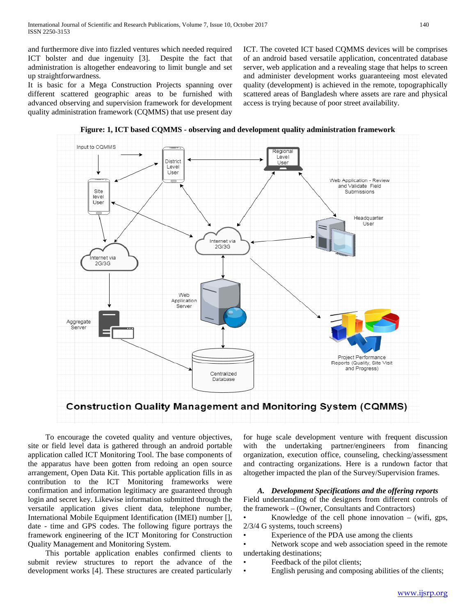and furthermore dive into fizzled ventures which needed required ICT bolster and due ingenuity [3]. Despite the fact that administration is altogether endeavoring to limit bungle and set up straightforwardness.

It is basic for a Mega Construction Projects spanning over different scattered geographic areas to be furnished with advanced observing and supervision framework for development quality administration framework (CQMMS) that use present day ICT. The coveted ICT based CQMMS devices will be comprises of an android based versatile application, concentrated database server, web application and a revealing stage that helps to screen and administer development works guaranteeing most elevated quality (development) is achieved in the remote, topographically scattered areas of Bangladesh where assets are rare and physical access is trying because of poor street availability.

**Figure: 1, ICT based CQMMS - observing and development quality administration framework**



 To encourage the coveted quality and venture objectives, site or field level data is gathered through an android portable application called ICT Monitoring Tool. The base components of the apparatus have been gotten from redoing an open source arrangement, Open Data Kit. This portable application fills in as contribution to the ICT Monitoring frameworks were confirmation and information legitimacy are guaranteed through login and secret key. Likewise information submitted through the versatile application gives client data, telephone number, International Mobile Equipment Identification (IMEI) number [], date - time and GPS codes. The following figure portrays the framework engineering of the ICT Monitoring for Construction Quality Management and Monitoring System.

 This portable application enables confirmed clients to submit review structures to report the advance of the development works [4]. These structures are created particularly

for huge scale development venture with frequent discussion with the undertaking partner/engineers from financing organization, execution office, counseling, checking/assessment and contracting organizations. Here is a rundown factor that altogether impacted the plan of the Survey/Supervision frames.

## *A. Development Specifications and the offering reports* Field understanding of the designers from different controls of the framework – (Owner, Consultants and Contractors)

Knowledge of the cell phone innovation  $-$  (wifi, gps, 2/3/4 G systems, touch screens)

Experience of the PDA use among the clients

Network scope and web association speed in the remote undertaking destinations;

- Feedback of the pilot clients;
- English perusing and composing abilities of the clients;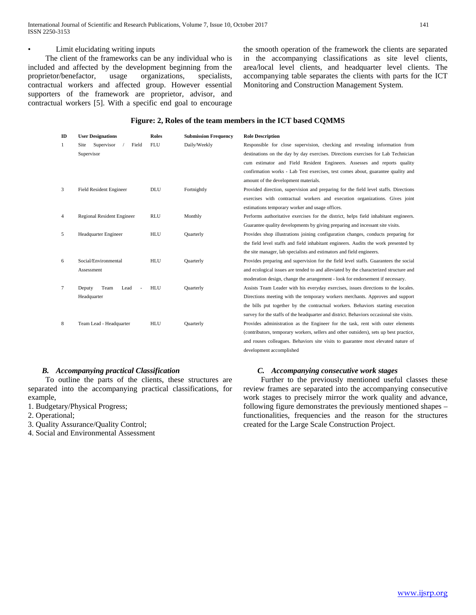International Journal of Scientific and Research Publications, Volume 7, Issue 10, October 2017 141 ISSN 2250-3153

Limit elucidating writing inputs

 The client of the frameworks can be any individual who is included and affected by the development beginning from the proprietor/benefactor, usage organizations, specialists, contractual workers and affected group. However essential supporters of the framework are proprietor, advisor, and contractual workers [5]. With a specific end goal to encourage the smooth operation of the framework the clients are separated in the accompanying classifications as site level clients, area/local level clients, and headquarter level clients. The accompanying table separates the clients with parts for the ICT Monitoring and Construction Management System.

# **Figure: 2, Roles of the team members in the ICT based CQMMS**

| ID     | <b>User Designations</b>    | <b>Roles</b> | <b>Submission Frequency</b> | <b>Role Description</b>                                                                  |
|--------|-----------------------------|--------------|-----------------------------|------------------------------------------------------------------------------------------|
| 1      | Supervisor<br>Site<br>Field | <b>FLU</b>   | Daily/Weekly                | Responsible for close supervision, checking and revealing information from               |
|        | Supervisor                  |              |                             | destinations on the day by day exercises. Directions exercises for Lab Technician        |
|        |                             |              |                             | cum estimator and Field Resident Engineers. Assesses and reports quality                 |
|        |                             |              |                             | confirmation works - Lab Test exercises, test comes about, guarantee quality and         |
|        |                             |              |                             | amount of the development materials.                                                     |
| 3      | Field Resident Engineer     | <b>DLU</b>   | Fortnightly                 | Provided direction, supervision and preparing for the field level staffs. Directions     |
|        |                             |              |                             | exercises with contractual workers and execution organizations. Gives joint              |
|        |                             |              |                             | estimations temporary worker and usage offices.                                          |
| 4      | Regional Resident Engineer  | <b>RLU</b>   | Monthly                     | Performs authoritative exercises for the district, helps field inhabitant engineers.     |
|        |                             |              |                             | Guarantee quality developments by giving preparing and incessant site visits.            |
| 5      | <b>Headquarter Engineer</b> | <b>HLU</b>   | <b>Quarterly</b>            | Provides shop illustrations joining configuration changes, conducts preparing for        |
|        |                             |              |                             | the field level staffs and field inhabitant engineers. Audits the work presented by      |
|        |                             |              |                             | the site manager, lab specialists and estimators and field engineers.                    |
| 6      | Social/Environmental        | <b>HLU</b>   | Quarterly                   | Provides preparing and supervision for the field level staffs. Guarantees the social     |
|        | Assessment                  |              |                             | and ecological issues are tended to and alleviated by the characterized structure and    |
|        |                             |              |                             | moderation design, change the arrangement - look for endorsement if necessary.           |
| $\tau$ | Team<br>Deputy<br>Lead      | <b>HLU</b>   | <b>Quarterly</b>            | Assists Team Leader with his everyday exercises, issues directions to the locales.       |
|        | Headquarter                 |              |                             | Directions meeting with the temporary workers merchants. Approves and support            |
|        |                             |              |                             | the bills put together by the contractual workers. Behaviors starting execution          |
|        |                             |              |                             | survey for the staffs of the headquarter and district. Behaviors occasional site visits. |
| 8      | Team Lead - Headquarter     | <b>HLU</b>   | <b>Quarterly</b>            | Provides administration as the Engineer for the task, rent with outer elements           |
|        |                             |              |                             | (contributors, temporary workers, sellers and other outsiders), sets up best practice,   |
|        |                             |              |                             | and rouses colleagues. Behaviors site visits to guarantee most elevated nature of        |
|        |                             |              |                             | development accomplished                                                                 |

# *B. Accompanying practical Classification*

 To outline the parts of the clients, these structures are separated into the accompanying practical classifications, for example,

- 1. Budgetary/Physical Progress;
- 2. Operational;
- 3. Quality Assurance/Quality Control;

4. Social and Environmental Assessment

# *C. Accompanying consecutive work stages*

 Further to the previously mentioned useful classes these review frames are separated into the accompanying consecutive work stages to precisely mirror the work quality and advance, following figure demonstrates the previously mentioned shapes – functionalities, frequencies and the reason for the structures created for the Large Scale Construction Project.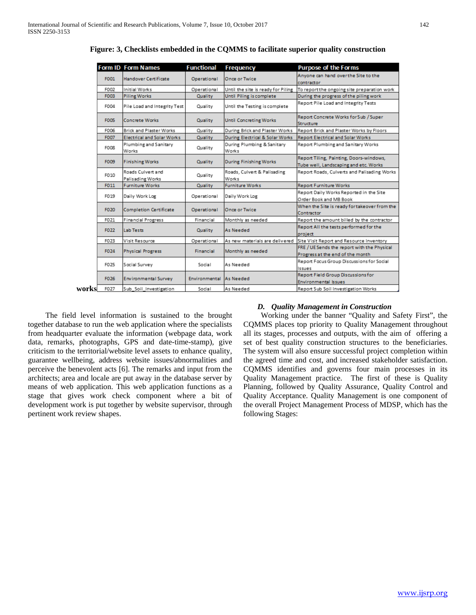|             |                                       | <b>Functional</b>         | Frequency                            | <b>Purpose of the Forms</b>                                                      |
|-------------|---------------------------------------|---------------------------|--------------------------------------|----------------------------------------------------------------------------------|
| F001        | Handover Certificate                  | Operational               | <b>Once or Twice</b>                 | Anyone can hand over the Site to the<br>contractor                               |
| F002        | Initial Works                         | Operational               | Until the site is ready for Piling   | To report the ongoing site preparation work                                      |
| <b>F003</b> | <b>Piling Works</b>                   | Quality                   | Until Piling is complete             | During the progress of the piling work                                           |
| F004        | Pile Load and Integrity Test          | Quality                   | Until the Testing is complete        | Report Pile Load and Integrity Tests                                             |
| <b>F005</b> | <b>Concrete Works</b>                 | Quality                   | <b>Until Concreting Works</b>        | Report Concrete Works for Sub / Super<br>Structure                               |
| F006        | <b>Brick and Plaster Works</b>        | Quality                   | During Brick and Plaster Works       | Report Brick and Plaster Works by Floors                                         |
| F007        | <b>Electrical and Solar Works</b>     | Quality                   | During Electrical & Solar Works      | Report Electrical and Solar Works                                                |
| F008        | Plumbing and Sanitary<br>Works        | Quality                   | During Plumbing & Sanitary<br>Works  | Report Plumbing and Sanitary Works                                               |
| F009        | <b>Finishing Works</b>                | Quality                   | <b>During Finishing Works</b>        | Report Tiling, Painting, Doors-windows,<br>Tube well, Landscaping and etc. Works |
| F010        | Roads Culvert and<br>Palisading Works | Quality                   | Roads, Culvert & Palisading<br>Works | Report Roads, Culverts and Palisading Works                                      |
| F011        | <b>Furniture Works</b>                | Quality                   | <b>Furniture Works</b>               | <b>Report Furniture Works</b>                                                    |
| F019        | Daily Work Log                        | Operational               | Daily Work Log                       | Report Daily Works Reported in the Site<br>Order Book and MB Book                |
| F020        | <b>Completion Certificate</b>         | Operational               | <b>Once or Twice</b>                 | When the Site is ready for takeover from the<br>Contractor                       |
| F021        | <b>Financial Progress</b>             | Financial                 | Monthly as needed                    | Report the amount billed by the contractor                                       |
| F022        | <b>Lab Tests</b>                      | Quality                   | As Needed                            | Report All the tests performed for the<br>project                                |
| F023        | Visit Resource                        | Operational               | As new materials are delivered       | Site Visit Report and Resource Inventory                                         |
| F024        | <b>Physical Progress</b>              | Financial                 | Monthly as needed                    | FRE / UE Sends the report with the Physical<br>Progress at the end of the month  |
| F025        | Social Survey                         | Social                    | As Needed                            | Report Focus Group Discussions for Social<br><b>Issues</b>                       |
|             |                                       |                           |                                      | Report Field Group Discussions for                                               |
| F026        | <b>Environmental Survey</b>           | Environmental             | As Needed                            | <b>Environmental Issues</b>                                                      |
|             |                                       | <b>Form ID Form Names</b> |                                      |                                                                                  |

**Figure: 3, Checklists embedded in the CQMMS to facilitate superior quality construction**

 The field level information is sustained to the brought together database to run the web application where the specialists from headquarter evaluate the information (webpage data, work data, remarks, photographs, GPS and date-time-stamp), give criticism to the territorial/website level assets to enhance quality, guarantee wellbeing, address website issues/abnormalities and perceive the benevolent acts [6]. The remarks and input from the architects; area and locale are put away in the database server by means of web application. This web application functions as a stage that gives work check component where a bit of development work is put together by website supervisor, through pertinent work review shapes.

## *D. Quality Management in Construction*

 Working under the banner "Quality and Safety First", the CQMMS places top priority to Quality Management throughout all its stages, processes and outputs, with the aim of offering a set of best quality construction structures to the beneficiaries. The system will also ensure successful project completion within the agreed time and cost, and increased stakeholder satisfaction. CQMMS identifies and governs four main processes in its Quality Management practice. The first of these is Quality Planning, followed by Quality Assurance, Quality Control and Quality Acceptance. Quality Management is one component of the overall Project Management Process of MDSP, which has the following Stages: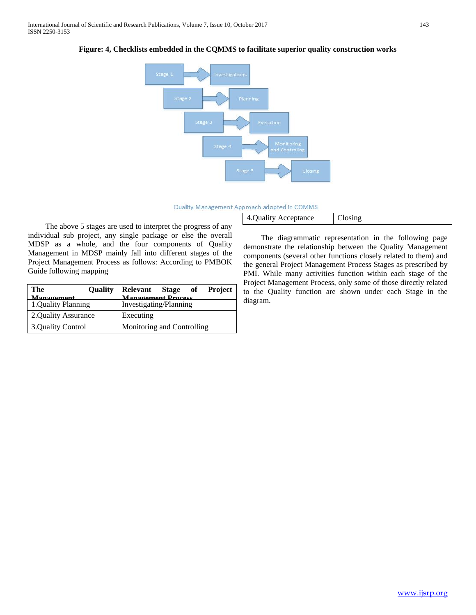

# **Figure: 4, Checklists embedded in the CQMMS to facilitate superior quality construction works**

#### Quality Management Approach adopted in CQMMS

|--|

 The above 5 stages are used to interpret the progress of any individual sub project, any single package or else the overall MDSP as a whole, and the four components of Quality Management in MDSP mainly fall into different stages of the Project Management Process as follows: According to PMBOK Guide following mapping

| The                 |                            | Quality Relevant Stage of Project |  |  |  |  |
|---------------------|----------------------------|-----------------------------------|--|--|--|--|
| Management          | <b>Management Process</b>  |                                   |  |  |  |  |
| 1.Quality Planning  |                            | Investigating/Planning            |  |  |  |  |
| 2.Quality Assurance |                            | Executing                         |  |  |  |  |
| 3.Quality Control   | Monitoring and Controlling |                                   |  |  |  |  |

 The diagrammatic representation in the following page demonstrate the relationship between the Quality Management components (several other functions closely related to them) and the general Project Management Process Stages as prescribed by PMI. While many activities function within each stage of the Project Management Process, only some of those directly related to the Quality function are shown under each Stage in the diagram.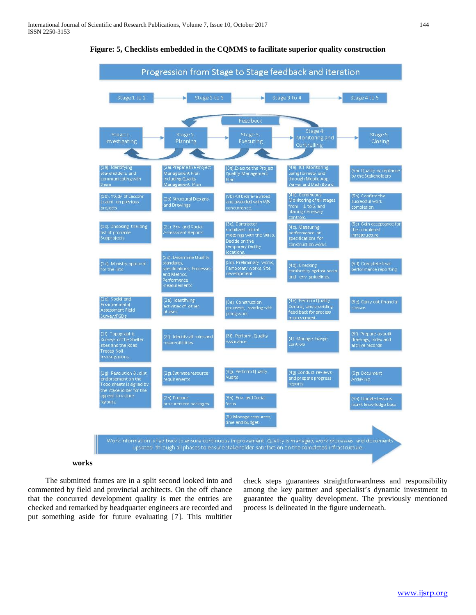

## **Figure: 5, Checklists embedded in the CQMMS to facilitate superior quality construction**

# **works**

 The submitted frames are in a split second looked into and commented by field and provincial architects. On the off chance that the concurred development quality is met the entries are checked and remarked by headquarter engineers are recorded and put something aside for future evaluating [7]. This multitier

check steps guarantees straightforwardness and responsibility among the key partner and specialist's dynamic investment to guarantee the quality development. The previously mentioned process is delineated in the figure underneath.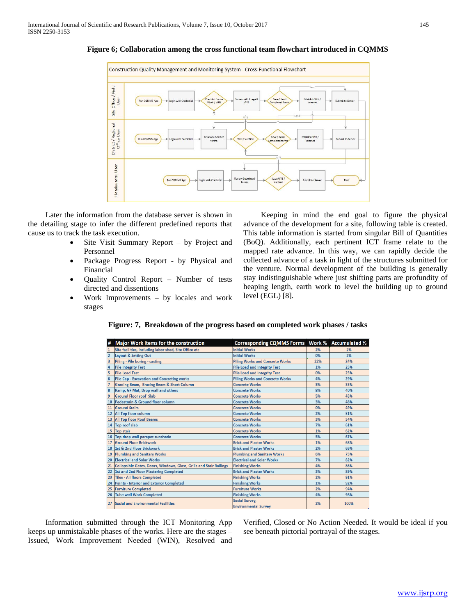

## **Figure 6; Collaboration among the cross functional team flowchart introduced in CQMMS**

 Later the information from the database server is shown in the detailing stage to infer the different predefined reports that cause us to track the task execution.

- Site Visit Summary Report by Project and Personnel
- Package Progress Report by Physical and Financial
- Quality Control Report Number of tests directed and dissentions
- Work Improvements by locales and work stages

 Keeping in mind the end goal to figure the physical advance of the development for a site, following table is created. This table information is started from singular Bill of Quantities (BoQ). Additionally, each pertinent ICT frame relate to the mapped rate advance. In this way, we can rapidly decide the collected advance of a task in light of the structures submitted for the venture. Normal development of the building is generally stay indistinguishable where just shifting parts are profundity of heaping length, earth work to level the building up to ground level (EGL) [8].

**Figure: 7, Breakdown of the progress based on completed work phases / tasks**

|                         | <b>Major Work Items for the construction</b>                               | Corresponding CQMMS Forms Work % Accumulated % |     |      |
|-------------------------|----------------------------------------------------------------------------|------------------------------------------------|-----|------|
|                         | Site facilities, including labor shed, Site Office etc                     | <b>Initial Works</b>                           | 2%  | 2%   |
| $\overline{2}$          | <b>Layout &amp; Setting Out</b>                                            | <b>Initial Works</b>                           | 0%  | 2%   |
| $\overline{3}$          | Piling - Pile boring - casting                                             | <b>Piling Works and Concrete Works</b>         | 22% | 24%  |
| 4                       | <b>Pile Integrity Test</b>                                                 | <b>Pile Load and Integrity Test</b>            | 1%  | 25%  |
| 5                       | <b>Pile Load Test</b>                                                      | <b>Pile Load and Integrity Test</b>            | 0%  | 25%  |
| 6                       | Pile Cap - Excavation and Concreting works                                 | <b>Piling Works and Concrete Works</b>         | 4%  | 29%  |
| 7                       | <b>Grading Beam, Bracing Beam &amp; Short Column</b>                       | <b>Concrete Works</b>                          | 3%  | 33%  |
| $\overline{\mathbf{8}}$ | Ramp, GF Mat, Drop wall and others                                         | <b>Concrete Works</b>                          | 8%  | 40%  |
| 9                       | <b>Ground Floor roof Slab</b>                                              | <b>Concrete Works</b>                          | 5%  | 45%  |
| 10                      | Pedestrain & Ground floor column                                           | <b>Concrete Works</b>                          | 3%  | 48%  |
| 11                      | <b>Ground Stairs</b>                                                       | <b>Concrete Works</b>                          | 0%  | 49%  |
|                         | 12 All Top floor column                                                    | <b>Concrete Works</b>                          | 2%  | 51%  |
| 13 <sup>°</sup>         | <b>All Top floor Roof Beams</b>                                            | <b>Concrete Works</b>                          | 3%  | 54%  |
| 14                      | Top roof slab                                                              | <b>Concrete Works</b>                          | 7%  | 61%  |
| 15                      | <b>Top stair</b>                                                           | <b>Concrete Works</b>                          | 1%  | 62%  |
| 16                      | Top drop wall parapet sunshade                                             | <b>Concrete Works</b>                          | 5%  | 67%  |
|                         | <b>Ground Floor Brickwork</b>                                              | <b>Brick and Plaster Works</b>                 | 1%  | 68%  |
|                         | 18 1st & 2nd Floor Brickwork                                               | <b>Brick and Plaster Works</b>                 | 2%  | 69%  |
| 19                      | Plumbing and Sanitary Works                                                | <b>Plumbing and Sanitary Works</b>             | 6%  | 75%  |
| 20                      | <b>Electrical and Solar Works</b>                                          | <b>Electrical and Solar Works</b>              | 7%  | 82%  |
| 21                      | <b>Collapsible Gates, Doors, Windows, Glass, Grills and Stair Railings</b> | <b>Finishing Works</b>                         | 4%  | 86%  |
|                         | 22 1st and 2nd Floor Plastering Completed                                  | <b>Brick and Plaster Works</b>                 | 3%  | 89%  |
|                         | 23 Tiles - All floors Completed                                            | <b>Finishing Works</b>                         | 2%  | 91%  |
|                         | 24 Paints - Interior and Exterior Completed                                | <b>Finishing Works</b>                         | 1%  | 92%  |
|                         | 25 Furniture Completed                                                     | <b>Furniture Works</b>                         | 2%  | 94%  |
|                         | 26 Tube well Work Completed                                                | <b>Finishing Works</b>                         | 4%  | 98%  |
| 27                      | Social and Environmental Facilities                                        | Social Survey,<br><b>Environmental Survey</b>  | 2%  | 100% |

 Information submitted through the ICT Monitoring App keeps up unmistakable phases of the works. Here are the stages – Issued, Work Improvement Needed (WIN), Resolved and Verified, Closed or No Action Needed. It would be ideal if you see beneath pictorial portrayal of the stages.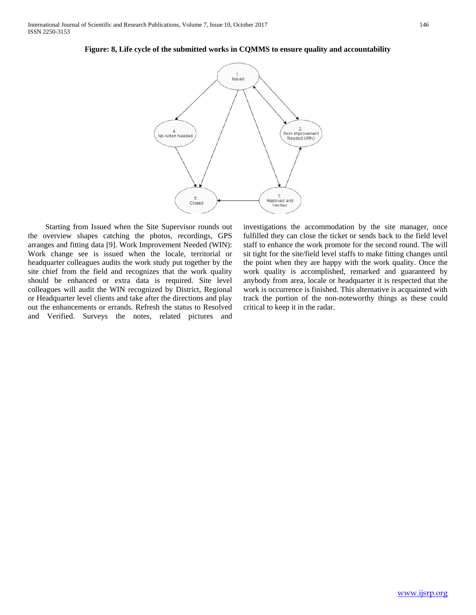

## **Figure: 8, Life cycle of the submitted works in CQMMS to ensure quality and accountability**

 Starting from Issued when the Site Supervisor rounds out the overview shapes catching the photos, recordings, GPS arranges and fitting data [9]. Work Improvement Needed (WIN): Work change see is issued when the locale, territorial or headquarter colleagues audits the work study put together by the site chief from the field and recognizes that the work quality should be enhanced or extra data is required. Site level colleagues will audit the WIN recognized by District, Regional or Headquarter level clients and take after the directions and play out the enhancements or errands. Refresh the status to Resolved and Verified. Surveys the notes, related pictures and investigations the accommodation by the site manager, once fulfilled they can close the ticket or sends back to the field level staff to enhance the work promote for the second round. The will sit tight for the site/field level staffs to make fitting changes until the point when they are happy with the work quality. Once the work quality is accomplished, remarked and guaranteed by anybody from area, locale or headquarter it is respected that the work is occurrence is finished. This alternative is acquainted with track the portion of the non-noteworthy things as these could critical to keep it in the radar.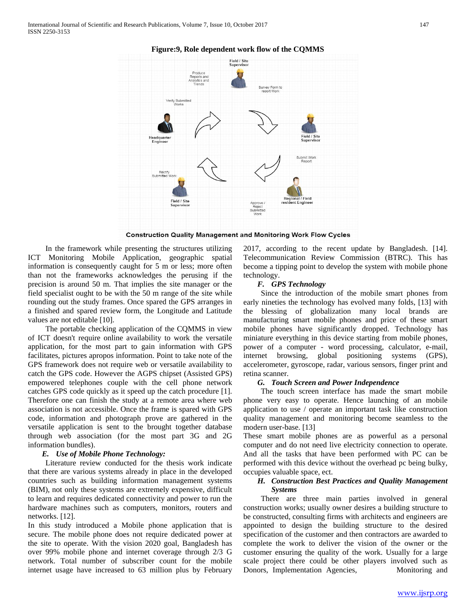

**Construction Quality Management and Monitoring Work Flow Cycles** 

 In the framework while presenting the structures utilizing ICT Monitoring Mobile Application, geographic spatial information is consequently caught for 5 m or less; more often than not the frameworks acknowledges the perusing if the precision is around 50 m. That implies the site manager or the field specialist ought to be with the 50 m range of the site while rounding out the study frames. Once spared the GPS arranges in a finished and spared review form, the Longitude and Latitude values are not editable [10].

 The portable checking application of the CQMMS in view of ICT doesn't require online availability to work the versatile application, for the most part to gain information with GPS facilitates, pictures apropos information. Point to take note of the GPS framework does not require web or versatile availability to catch the GPS code. However the AGPS chipset (Assisted GPS) empowered telephones couple with the cell phone network catches GPS code quickly as it speed up the catch procedure [1]. Therefore one can finish the study at a remote area where web association is not accessible. Once the frame is spared with GPS code, information and photograph prove are gathered in the versatile application is sent to the brought together database through web association (for the most part 3G and 2G information bundles).

## *E. Use of Mobile Phone Technology:*

 Literature review conducted for the thesis work indicate that there are various systems already in place in the developed countries such as building information management systems (BIM), not only these systems are extremely expensive, difficult to learn and requires dedicated connectivity and power to run the hardware machines such as computers, monitors, routers and networks. [12].

In this study introduced a Mobile phone application that is secure. The mobile phone does not require dedicated power at the site to operate. With the vision 2020 goal, Bangladesh has over 99% mobile phone and internet coverage through 2/3 G network. Total number of subscriber count for the mobile internet usage have increased to 63 million plus by February

2017, according to the recent update by Bangladesh. [14]. Telecommunication Review Commission (BTRC). This has become a tipping point to develop the system with mobile phone technology.

## *F. GPS Technology*

 Since the introduction of the mobile smart phones from early nineties the technology has evolved many folds, [13] with the blessing of globalization many local brands are manufacturing smart mobile phones and price of these smart mobile phones have significantly dropped. Technology has miniature everything in this device starting from mobile phones, power of a computer - word processing, calculator, e-mail, internet browsing, global positioning systems (GPS), accelerometer, gyroscope, radar, various sensors, finger print and retina scanner.

## *G. Touch Screen and Power Independence*

 The touch screen interface has made the smart mobile phone very easy to operate. Hence launching of an mobile application to use / operate an important task like construction quality management and monitoring become seamless to the modern user-base. [13]

These smart mobile phones are as powerful as a personal computer and do not need live electricity connection to operate. And all the tasks that have been performed with PC can be performed with this device without the overhead pc being bulky, occupies valuable space, ect.

# *H. Construction Best Practices and Quality Management Systems*

 There are three main parties involved in general construction works; usually owner desires a building structure to be constructed, consulting firms with architects and engineers are appointed to design the building structure to the desired specification of the customer and then contractors are awarded to complete the work to deliver the vision of the owner or the customer ensuring the quality of the work. Usually for a large scale project there could be other players involved such as Donors, Implementation Agencies, Monitoring and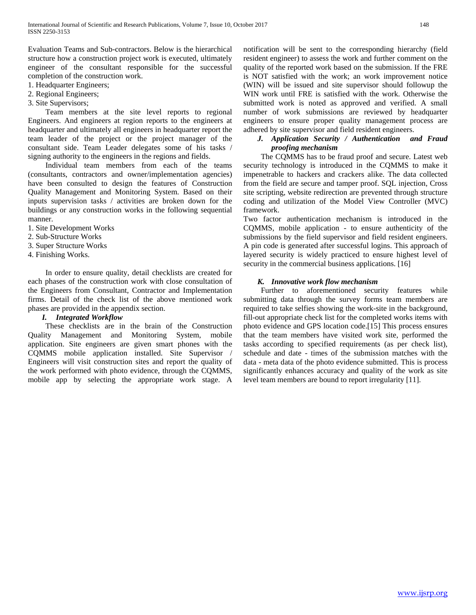Evaluation Teams and Sub-contractors. Below is the hierarchical structure how a construction project work is executed, ultimately engineer of the consultant responsible for the successful completion of the construction work.

1. Headquarter Engineers;

2. Regional Engineers;

3. Site Supervisors;

 Team members at the site level reports to regional Engineers. And engineers at region reports to the engineers at headquarter and ultimately all engineers in headquarter report the team leader of the project or the project manager of the consultant side. Team Leader delegates some of his tasks / signing authority to the engineers in the regions and fields.

 Individual team members from each of the teams (consultants, contractors and owner/implementation agencies) have been consulted to design the features of Construction Quality Management and Monitoring System. Based on their inputs supervision tasks / activities are broken down for the buildings or any construction works in the following sequential manner.

1. Site Development Works

2. Sub-Structure Works

3. Super Structure Works

4. Finishing Works.

 In order to ensure quality, detail checklists are created for each phases of the construction work with close consultation of the Engineers from Consultant, Contractor and Implementation firms. Detail of the check list of the above mentioned work phases are provided in the appendix section.

## *I. Integrated Workflow*

 These checklists are in the brain of the Construction Quality Management and Monitoring System, mobile application. Site engineers are given smart phones with the CQMMS mobile application installed. Site Supervisor / Engineers will visit construction sites and report the quality of the work performed with photo evidence, through the CQMMS, mobile app by selecting the appropriate work stage. A

notification will be sent to the corresponding hierarchy (field resident engineer) to assess the work and further comment on the quality of the reported work based on the submission. If the FRE is NOT satisfied with the work; an work improvement notice (WIN) will be issued and site supervisor should followup the WIN work until FRE is satisfied with the work. Otherwise the submitted work is noted as approved and verified. A small number of work submissions are reviewed by headquarter engineers to ensure proper quality management process are adhered by site supervisor and field resident engineers.

# *J. Application Security / Authentication and Fraud proofing mechanism*

 The CQMMS has to be fraud proof and secure. Latest web security technology is introduced in the CQMMS to make it impenetrable to hackers and crackers alike. The data collected from the field are secure and tamper proof. SQL injection, Cross site scripting, website redirection are prevented through structure coding and utilization of the Model View Controller (MVC) framework.

Two factor authentication mechanism is introduced in the CQMMS, mobile application - to ensure authenticity of the submissions by the field supervisor and field resident engineers. A pin code is generated after successful logins. This approach of layered security is widely practiced to ensure highest level of security in the commercial business applications. [16]

# *K. Innovative work flow mechanism*

 Further to aforementioned security features while submitting data through the survey forms team members are required to take selfies showing the work-site in the background, fill-out appropriate check list for the completed works items with photo evidence and GPS location code.[15] This process ensures that the team members have visited work site, performed the tasks according to specified requirements (as per check list), schedule and date - times of the submission matches with the data - meta data of the photo evidence submitted. This is process significantly enhances accuracy and quality of the work as site level team members are bound to report irregularity [11].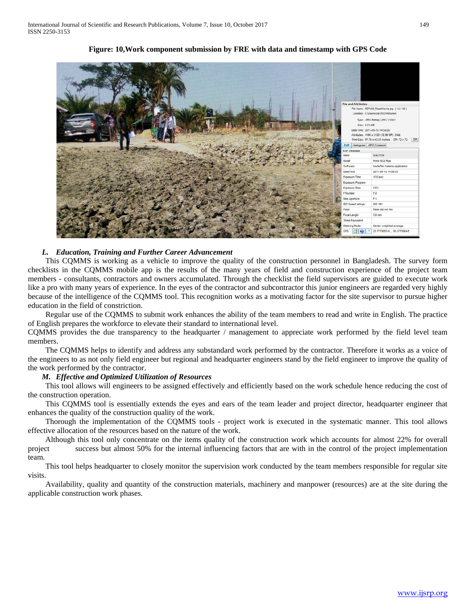

**Figure: 10,Work component submission by FRE with data and timestamp with GPS Code**

# *L. Education, Training and Further Career Advancement*

 This CQMMS is working as a vehicle to improve the quality of the construction personnel in Bangladesh. The survey form checklists in the CQMMS mobile app is the results of the many years of field and construction experience of the project team members - consultants, contractors and owners accumulated. Through the checklist the field supervisors are guided to execute work like a pro with many years of experience. In the eyes of the contractor and subcontractor this junior engineers are regarded very highly because of the intelligence of the CQMMS tool. This recognition works as a motivating factor for the site supervisor to pursue higher education in the field of constriction.

 Regular use of the CQMMS to submit work enhances the ability of the team members to read and write in English. The practice of English prepares the workforce to elevate their standard to international level.

CQMMS provides the due transparency to the headquarter / management to appreciate work performed by the field level team members.

 The CQMMS helps to identify and address any substandard work performed by the contractor. Therefore it works as a voice of the engineers to as not only field engineer but regional and headquarter engineers stand by the field engineer to improve the quality of the work performed by the contractor.

## *M. Effective and Optimized Utilization of Resources*

 This tool allows will engineers to be assigned effectively and efficiently based on the work schedule hence reducing the cost of the construction operation.

 This CQMMS tool is essentially extends the eyes and ears of the team leader and project director, headquarter engineer that enhances the quality of the construction quality of the work.

 Thorough the implementation of the CQMMS tools - project work is executed in the systematic manner. This tool allows effective allocation of the resources based on the nature of the work.

 Although this tool only concentrate on the items quality of the construction work which accounts for almost 22% for overall project success but almost 50% for the internal influencing factors that are with in the control of the project implementation team.

 This tool helps headquarter to closely monitor the supervision work conducted by the team members responsible for regular site visits.

 Availability, quality and quantity of the construction materials, machinery and manpower (resources) are at the site during the applicable construction work phases.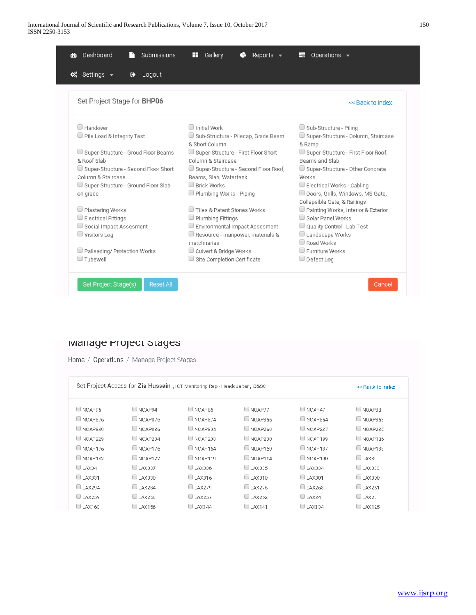

# Manage Project Stages

Home / Operations / Manage Project Stages

| Set Project Access for Zia Hussain, ICT Monitoring Rep - Headquarter, D&SC | << Back to index |                |                |                |                |
|----------------------------------------------------------------------------|------------------|----------------|----------------|----------------|----------------|
| NOAP96                                                                     | $\Box$ NOAP94    | NOAP85         | $\Box$ NDAP77  | $\Box$ NOAP47  | O NOAP38       |
| UNOAP376                                                                   | UNOAP375         | $\Box$ NOAP374 | NDAP366        | NDAP364        | NDAP363        |
| NDAP349                                                                    | NDAP336          | $\Box$ NOAP304 | $\Box$ NOAP269 | $\Box$ NDAP237 | $\Box$ NDAP235 |
| NOAP229                                                                    | $\Box$ NOAP204   | $\Box$ NOAP203 | O NOAP200      | $\Box$ NOAP199 | $\Box$ NOAP186 |
| $\Box$ NOAP176                                                             | UNOAP175         | $\Box$ NOAP154 | $\Box$ NOAP150 | $\Box$ NDAP137 | $\Box$ NDAP133 |
| $\Box$ NOAP132                                                             | $\Box$ NDAP122   | $\Box$ NOAP119 | $\Box$ NOAP114 | $\Box$ NOAP100 | $\Box$ LAX89   |
| LAX34                                                                      | $\Box$ LAX337    | LAX336         | $\Box$ LAX335  | $\Box$ I AX334 | $\Box$ LAX333  |
| $U$ LAX331                                                                 | $\Box$ LAX330    | LAX316         | $\Box$ LAX310  | $\Box$ LAX301  | $U$ LAX300     |
| $\Box$ LAX294                                                              | $\Box$ LAX284    | LAX279         | LAX275         | $\Box$ LAX263  | $\Box$ LAX261  |
| $\Box$   AX259                                                             | LAX258           | $\Box$   AX257 | $\Box$   AX252 | $\Box$ LAX24   | $\Box$   AX23  |
| $\Box$ LAX163                                                              | $\Box$ LAX156    | $\Box$ LAX144  | $\Box$ LAX141  | $□$ LAX134     | $U$ LAX125     |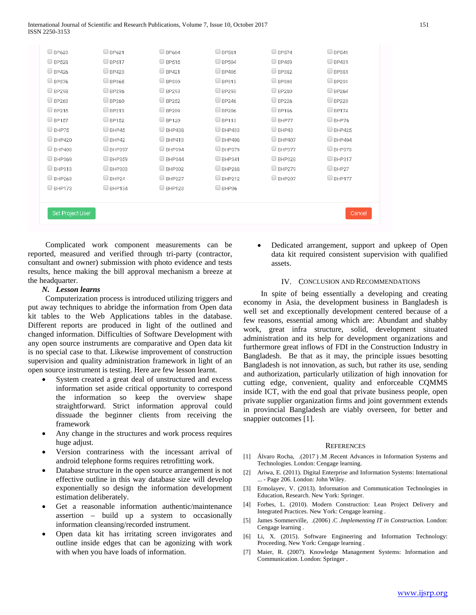| <b>BP623</b>     | □ BP621       | <b>BP604</b>  | $\Box$ BP581    | $\Box$ BP574  | <b>BP549</b>  |
|------------------|---------------|---------------|-----------------|---------------|---------------|
| $\Box$ BP528     | $\Box$ BP517  | $\Box$ BP515  | $\Box$ BP504    | □ BP459       | $\Box$ BP431  |
| <b>BP426</b>     | <b>BP423</b>  | $\Box$ BP421  | <b>BP405</b>    | $\Box$ BP382  | $\Box$ BP381  |
| <b>BP376</b>     | <b>BP365</b>  | $\Box$ BP330  | $\Box$ BP313    | $\Box$ BP303  | $\Box$ BP299  |
| $\Box$ BP298     | □ BP296       | $\Box$ BP293  | $\Box$ BP290    | $\Box$ BP280  | □ BP264       |
| <b>D</b> BP263   | □ BP260       | $\Box$ BP252  | <b>BP246</b>    | □ BP226       | $\Box$ BP220  |
| $\Box$ BP215     | $\Box$ BP213  | $\Box$ BP209  | <b>BP206</b>    | □ BP186       | $\Box$ BP174  |
| $\Box$ BP157     | $\Box$ BP152  | $\Box$ BP120  | $\Box$ BP113    | $\Box$ BHP77  | BHP76         |
| BHP75            | $\Box$ BHP45  | $\Box$ BHP438 | $\Box$ BHP433   | $\Box$ BHP43  | BHP425        |
| $\Box$ BHP420    | $\Box$ BHP42  | $\Box$ BHP413 | BHP408          | $\Box$ BHP407 | $\Box$ BHP404 |
| $\Box$ BHP403    | $\Box$ BHP397 | $\Box$ BHP394 | $\Box$ BHP379   | $\Box$ BHP377 | $\Box$ BHP373 |
| $\Box$ BHP369    | $\Box$ BHP359 | $\Box$ BHP344 | $\Box$ BHP341   | $\Box$ BHP328 | $\Box$ BHP317 |
| $\Box$ BHP313    | $\Box$ BHP303 | $Q$ BHP302    | <b>E BHP288</b> | $Q$ RHP279    | $\Box$ BHP27  |
| <b>BHP263</b>    | $\Box$ BHP24  | <b>BHP227</b> | BHP212          | $\Box$ BHP207 | $\Box$ BHP177 |
| $\Box$ BHP173    | $\Box$ BHP134 | $\Box$ BHP123 | $\Box$ BHP06    |               |               |
|                  |               |               |                 |               |               |
| Set Project User |               |               |                 |               | Cancel        |
|                  |               |               |                 |               |               |

 Complicated work component measurements can be reported, measured and verified through tri-party (contractor, consultant and owner) submission with photo evidence and tests results, hence making the bill approval mechanism a breeze at the headquarter.

## *N. Lesson learns*

 Computerization process is introduced utilizing triggers and put away techniques to abridge the information from Open data kit tables to the Web Applications tables in the database. Different reports are produced in light of the outlined and changed information. Difficulties of Software Development with any open source instruments are comparative and Open data kit is no special case to that. Likewise improvement of construction supervision and quality administration framework in light of an open source instrument is testing. Here are few lesson learnt.

- System created a great deal of unstructured and excess information set aside critical opportunity to correspond the information so keep the overview shape straightforward. Strict information approval could dissuade the beginner clients from receiving the framework
- Any change in the structures and work process requires huge adjust.
- Version contrariness with the incessant arrival of android telephone forms requires retrofitting work.
- Database structure in the open source arrangement is not effective outline in this way database size will develop exponentially so design the information development estimation deliberately.
- Get a reasonable information authentic/maintenance assertion – build up a system to occasionally information cleansing/recorded instrument.
- Open data kit has irritating screen invigorates and outline inside edges that can be agonizing with work with when you have loads of information.

• Dedicated arrangement, support and upkeep of Open data kit required consistent supervision with qualified assets.

## IV. CONCLUSION AND RECOMMENDATIONS

 In spite of being essentially a developing and creating economy in Asia, the development business in Bangladesh is well set and exceptionally development centered because of a few reasons, essential among which are: Abundant and shabby work, great infra structure, solid, development situated administration and its help for development organizations and furthermore great inflows of FDI in the Construction Industry in Bangladesh. Be that as it may, the principle issues besotting Bangladesh is not innovation, as such, but rather its use, sending and authorization, particularly utilization of high innovation for cutting edge, convenient, quality and enforceable CQMMS inside ICT, with the end goal that private business people, open private supplier organization firms and joint government extends in provincial Bangladesh are viably overseen, for better and snappier outcomes [1].

#### REFERENCES

- [1] Álvaro Rocha, .(2017 ) .M .Recent Advances in Information Systems and Technologies. London: Cengage learning.
- [2] Ariwa, E. (2011). Digital Enterprise and Information Systems: International ... - Page 206. London: John Wiley.
- [3] Ermolayev, V. (2013). Information and Communication Technologies in Education, Research. New York: Springer.
- [4] Forbes, L. (2010). Modern Construction: Lean Project Delivery and Integrated Practices. New York: Cengage learning .
- [5] James Sommerville, .(2006) .C .*Implementing IT in Construction.* London: Cengage learning .
- [6] Li, X. (2015). Software Engineering and Information Technology: Proceeding. New York: Cengage learning .
- [7] Maier, R. (2007). Knowledge Management Systems: Information and Communication. London: Springer .